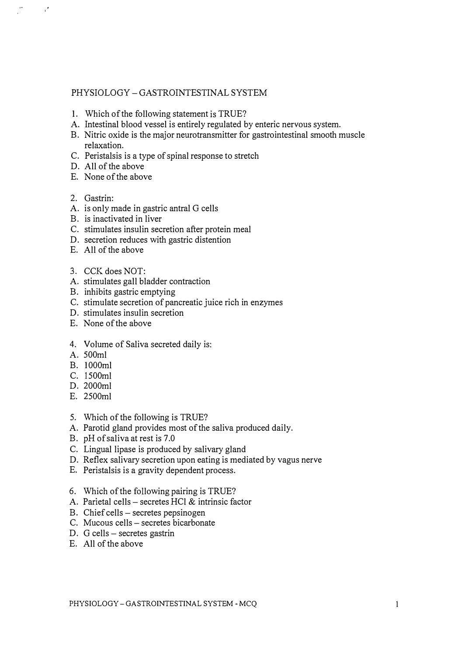# PHYSIOLOGY - GASTROINTESTINAL SYSTEM

- 1. Which of the following statement is TRUE?
- A. Intestinal blood vessel is entirely regulated by enteric nervous system.
- B. Nitric oxide is the major neurotransmitter for gastrointestinal smooth muscle relaxation.
- C. Peristalsis is a type of spinal response to stretch
- D. All of the above
- E. None of the above
- 2. Gastrin:

 $\frac{1}{1}$ 

- A. is only made in gastric antral G cells
- B. is inactivated in liver
- C. stimulates insulin secretion after protein meal
- D. secretion reduces with gastric distention
- E. All of the above
- 3. CCK does NOT:
- A. stimulates gall bladder contraction
- B. inhibits gastric emptying
- C. stimulate secretion of pancreatic juice rich in enzymes
- D. stimulates insulin secretion
- E. None of the above
- 4. Volume of Saliva secreted daily is:
- A. SOOml
- B. 1000ml
- C. ISOOml
- D. 2000ml
- E. 2S00ml
- S. Which of the following is TRUE?
- A. Parotid gland provides most of the saliva produced daily.
- B. pH of saliva at rest is 7.0
- C. Lingual lipase is produced by salivary gland
- D. Reflex salivary secretion upon eating is mediated by vagus nerve
- E. Peristalsis is a gravity dependent process.
- 6. Which of the foIlowing pairing is TRUE?
- A. Parietal cells secretes HCl  $&$  intrinsic factor
- B. Chief cells secretes pepsinogen
- C. Mucous cells secretes bicarbonate
- D. G cells secretes gastrin
- E. All of the above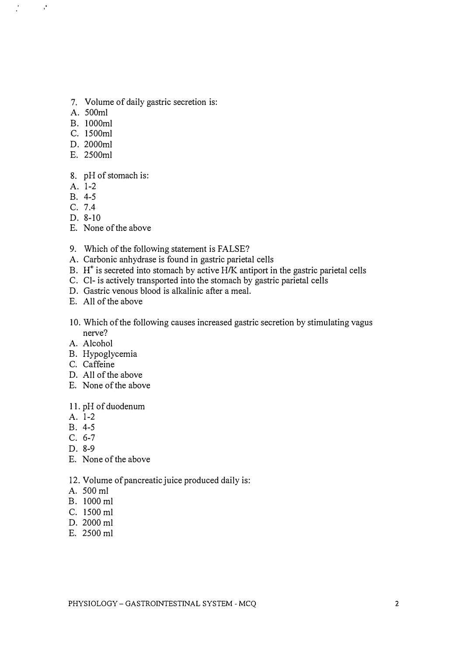- 7. Volume of daily gastric secretion is:
- A. 500ml

"

- B. 1000ml
- C. 1500ml
- D. 2000ml
- E. 2500ml
- 8. pH of stomach is:
- A. 1-2
- B. 4-5
- C. 7.4
- D. 8-10
- E. None of the above
- 9. Which of the following statement is FALSE?
- A. Carbonic anhydrase is found in gastric parietal cells
- B.  $H^+$  is secreted into stomach by active H $K$  antiport in the gastric parietal cells
- C. Cl- is actively transported into the stomach by gastric parietal cells
- D. Gastric venous blood is alkalinic after a meal.
- E. All of the above
- 10. Which of the following causes increased gastric secretion by stimulating vagus nerve?
- A. Alcohol
- B. Hypoglycemia
- C. Caffeine
- D. All of the above
- E. None of the above

## 11. pH of duodenum

- A. 1-2
- B. 4-5
- C. 6-7
- D. 8-9
- E. None of the above
- 12. Volume of pancreatic juice produced daily is:
- A. 500 ml
- B. 1000 ml
- C. 1500 ml
- D. 2000 ml
- E. 2500 ml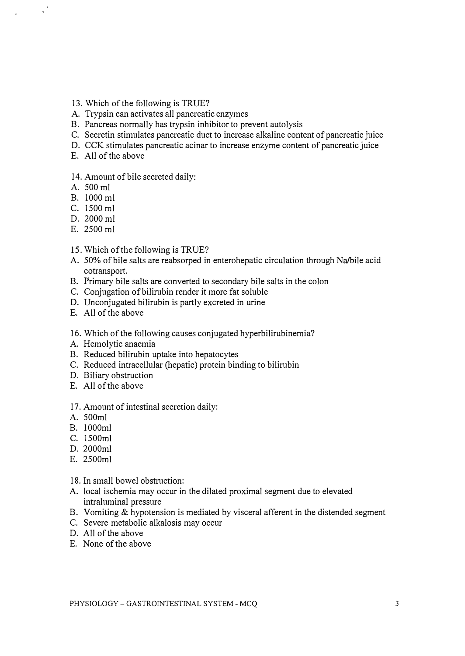- 13. Which of the following is TRUE?
- A. Trypsin can activates all pancreatic enzymes
- B. Pancreas normally has trypsin inhibitor to prevent autolysis
- C. Secretin stimulates pancreatic duct to increase alkaline content of pancreatic juice
- D. CCK stimulates pancreatic acinar to increase enzyme content of pancreatic juice
- E. All of the above

## 14. Amount of bile secreted daily:

A. 500 ml

 $\ddot{\phantom{0}}$ 

- B. 1000 ml
- C. 1500 ml
- D. 2000 ml
- E. 2500 ml
- IS. Which of the following is TRUE?
- A. 50% of bile salts are reabsorped in enterohepatic circulation through Na/bile acid cotransport.
- B. Primary bile salts are converted to secondary bile salts in the colon
- C. Conjugation of bilirubin render it more fat soluble
- D. Unconjugated bilirubin is partly excreted in urine
- E. All of the above
- 16. Which of the following causes conjugated hyperbilirubinemia?
- A. Hemolytic anaemia
- B. Reduced bilirubin uptake into hepatocytes
- C. Reduced intracellular (hepatic) protein binding to bilirubin
- D. Biliary obstruction
- E. All of the above

### 17. Amount of intestinal secretion daily:

- A. 500ml
- B. 1000ml
- C. 1500ml
- D. 2000ml
- E. 2500ml
- 18. In small bowel obstruction:
- A. local ischemia may occur in the dilated proximal segment due to elevated intraluminal pressure
- B. Vomiting & hypotension is mediated by visceral afferent in the distended segment
- C. Severe metabolic alkalosis may occur
- D. All of the above
- E. None of the above